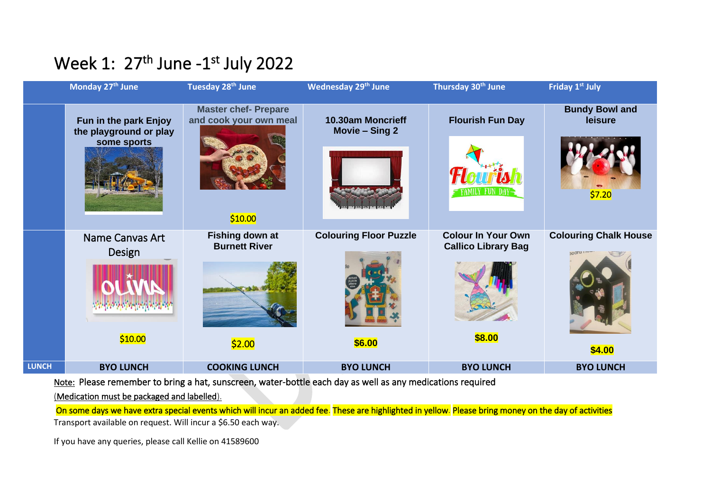## Week 1: 27<sup>th</sup> June -1<sup>st</sup> July 2022

|              | Monday 27th June                                               | Tuesday 28th June                                                | <b>Wednesday 29th June</b>          | Thursday 30 <sup>th</sup> June                          | Friday 1st July                            |
|--------------|----------------------------------------------------------------|------------------------------------------------------------------|-------------------------------------|---------------------------------------------------------|--------------------------------------------|
|              | Fun in the park Enjoy<br>the playground or play<br>some sports | <b>Master chef- Prepare</b><br>and cook your own meal<br>\$10.00 | 10.30am Moncrieff<br>Movie - Sing 2 | <b>Flourish Fun Day</b>                                 | <b>Bundy Bowl and</b><br>leisure<br>\$7.20 |
|              | <b>Name Canvas Art</b><br>Design                               | <b>Fishing down at</b><br><b>Burnett River</b>                   | <b>Colouring Floor Puzzle</b>       | <b>Colour In Your Own</b><br><b>Callico Library Bag</b> | <b>Colouring Chalk House</b>               |
|              | \$10.00                                                        | \$2.00                                                           | \$6.00                              | \$8.00                                                  |                                            |
|              |                                                                |                                                                  |                                     |                                                         | \$4.00                                     |
| <b>LUNCH</b> | <b>BYO LUNCH</b>                                               | <b>COOKING LUNCH</b>                                             | <b>BYO LUNCH</b>                    | <b>BYO LUNCH</b>                                        | <b>BYO LUNCH</b>                           |

Note: Please remember to bring a hat, sunscreen, water-bottle each day as well as any medications required

(Medication must be packaged and labelled).

On some days we have extra special events which will incur an added fee. These are highlighted in yellow. Please bring money on the day of activities Transport available on request. Will incur a \$6.50 each way.

If you have any queries, please call Kellie on 41589600